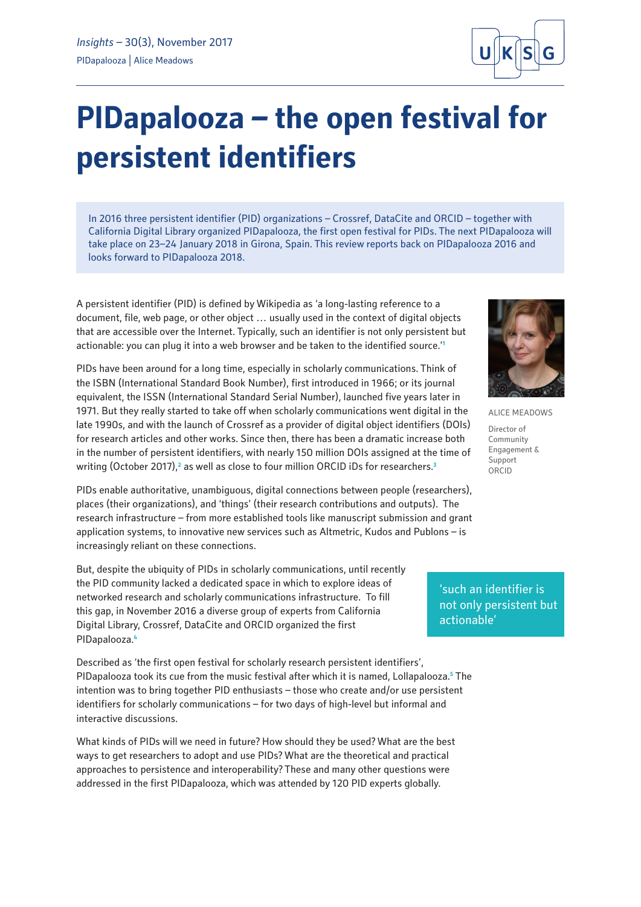# **PIDapalooza – the open festival for persistent identifiers**

In 2016 three persistent identifier (PID) organizations – Crossref, DataCite and ORCID – together with California Digital Library organized PIDapalooza, the first open festival for PIDs. The next PIDapalooza will take place on 23–24 January 2018 in Girona, Spain. This review reports back on PIDapalooza 2016 and looks forward to PIDapalooza 2018.

A persistent identifier (PID) is defined by Wikipedia as 'a long-lasting reference to a document, file, web page, or other object … usually used in the context of digital objects that are accessible over the Internet. Typically, such an identifier is not only persistent but actionable: you can plug it into a web browser and be taken to the identified source.'**<sup>1</sup>**



ALICE MEADOWS

Director of Community Engagement & Support ORCID

PIDs have been around for a long time, especially in scholarly communications. Think of the ISBN (International Standard Book Number), first introduced in 1966; or its journal equivalent, the ISSN (International Standard Serial Number), launched five years later in 1971. But they really started to take off when scholarly communications went digital in the late 1990s, and with the launch of Crossref as a provider of digital object identifiers (DOIs) for research articles and other works. Since then, there has been a dramatic increase both in the number of persistent identifiers, with nearly 150 million DOIs assigned at the time of writing (October 2017),<sup>2</sup> as well as close to four million ORCID iDs for researchers.<sup>3</sup>

PIDs enable authoritative, unambiguous, digital connections between people (researchers), places (their organizations), and 'things' (their research contributions and outputs). The research infrastructure – from more established tools like manuscript submission and grant application systems, to innovative new services such as Altmetric, Kudos and Publons – is increasingly reliant on these connections.

But, despite the ubiquity of PIDs in scholarly communications, until recently the PID community lacked a dedicated space in which to explore ideas of networked research and scholarly communications infrastructure. To fill this gap, in November 2016 a diverse group of experts from California Digital Library, Crossref, DataCite and ORCID organized the first PIDapalooza.**<sup>4</sup>**

Described as 'the first open festival for scholarly research persistent identifiers', PIDapalooza took its cue from the music festival after which it is named, Lollapalooza.**<sup>5</sup>** The intention was to bring together PID enthusiasts – those who create and/or use persistent identifiers for scholarly communications – for two days of high-level but informal and interactive discussions.

What kinds of PIDs will we need in future? How should they be used? What are the best ways to get researchers to adopt and use PIDs? What are the theoretical and practical approaches to persistence and interoperability? These and many other questions were addressed in the first PIDapalooza, which was attended by 120 PID experts globally.

'such an identifier is not only persistent but actionable'

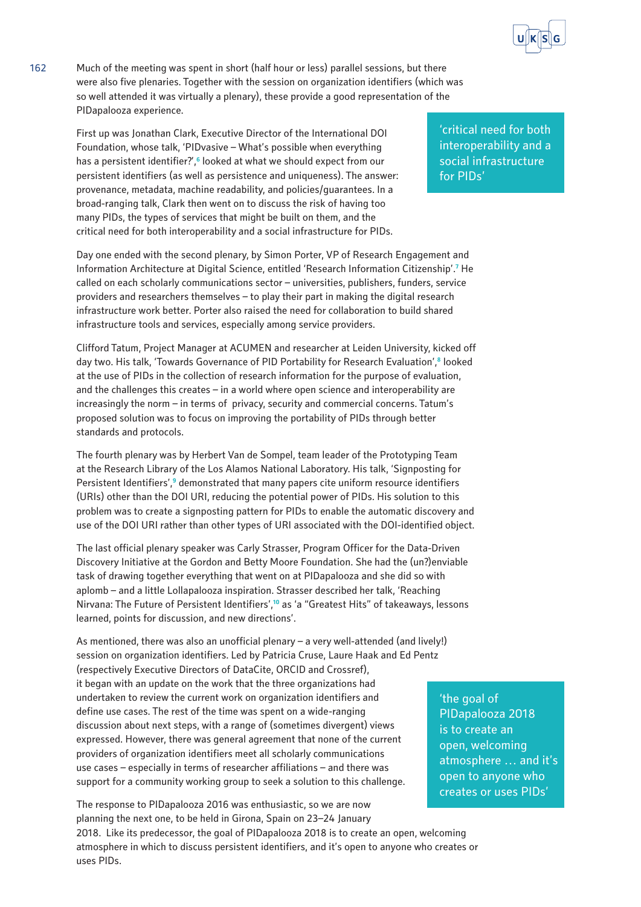

162 Much of the meeting was spent in short (half hour or less) parallel sessions, but there were also five plenaries. Together with the session on organization identifiers (which was so well attended it was virtually a plenary), these provide a good representation of the PIDapalooza experience.

> First up was Jonathan Clark, Executive Director of the International DOI Foundation, whose talk, 'PIDvasive – What's possible when everything has a persistent identifier?',<sup>6</sup> looked at what we should expect from our persistent identifiers (as well as persistence and uniqueness). The answer: provenance, metadata, machine readability, and policies/guarantees. In a broad-ranging talk, Clark then went on to discuss the risk of having too many PIDs, the types of services that might be built on them, and the critical need for both interoperability and a social infrastructure for PIDs.

Day one ended with the second plenary, by Simon Porter, VP of Research Engagement and Information Architecture at Digital Science, entitled 'Research Information Citizenship'.<sup>7</sup> He called on each scholarly communications sector – universities, publishers, funders, service providers and researchers themselves – to play their part in making the digital research infrastructure work better. Porter also raised the need for collaboration to build shared infrastructure tools and services, especially among service providers.

Clifford Tatum, Project Manager at ACUMEN and researcher at Leiden University, kicked off day two. His talk, 'Towards Governance of PID Portability for Research Evaluation',**<sup>8</sup>** looked at the use of PIDs in the collection of research information for the purpose of evaluation, and the challenges this creates – in a world where open science and interoperability are increasingly the norm – in terms of privacy, security and commercial concerns. Tatum's proposed solution was to focus on improving the portability of PIDs through better standards and protocols.

The fourth plenary was by Herbert Van de Sompel, team leader of the Prototyping Team at the Research Library of the Los Alamos National Laboratory. His talk, 'Signposting for Persistent Identifiers',<sup>9</sup> demonstrated that many papers cite uniform resource identifiers (URIs) other than the DOI URI, reducing the potential power of PIDs. His solution to this problem was to create a signposting pattern for PIDs to enable the automatic discovery and use of the DOI URI rather than other types of URI associated with the DOI-identified object.

The last official plenary speaker was Carly Strasser, Program Officer for the Data-Driven Discovery Initiative at the Gordon and Betty Moore Foundation. She had the (un?)enviable task of drawing together everything that went on at PIDapalooza and she did so with aplomb – and a little Lollapalooza inspiration. Strasser described her talk, 'Reaching Nirvana: The Future of Persistent Identifiers',**<sup>10</sup>** as 'a "Greatest Hits" of takeaways, lessons learned, points for discussion, and new directions'.

As mentioned, there was also an unofficial plenary – a very well-attended (and lively!) session on organization identifiers. Led by Patricia Cruse, Laure Haak and Ed Pentz (respectively Executive Directors of DataCite, ORCID and Crossref), it began with an update on the work that the three organizations had undertaken to review the current work on organization identifiers and define use cases. The rest of the time was spent on a wide-ranging discussion about next steps, with a range of (sometimes divergent) views expressed. However, there was general agreement that none of the current providers of organization identifiers meet all scholarly communications use cases – especially in terms of researcher affiliations – and there was support for a community working group to seek a solution to this challenge.

The response to PIDapalooza 2016 was enthusiastic, so we are now planning the next one, to be held in Girona, Spain on 23–24 January 2018. Like its predecessor, the goal of PIDapalooza 2018 is to create an open, welcoming atmosphere in which to discuss persistent identifiers, and it's open to anyone who creates or uses PIDs.

'critical need for both interoperability and a social infrastructure for PIDs'

'the goal of PIDapalooza 2018 is to create an open, welcoming atmosphere … and it's open to anyone who creates or uses PIDs'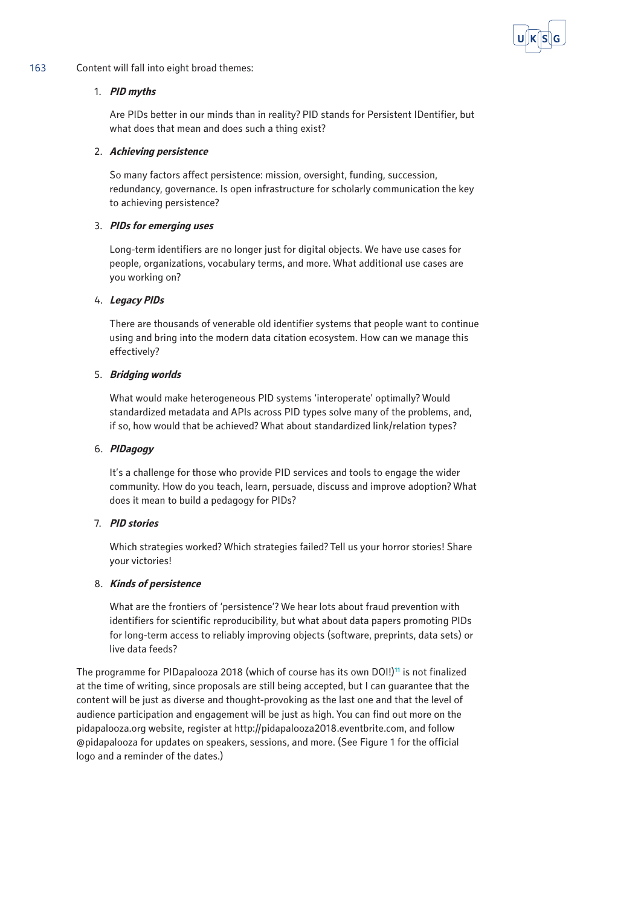

## 163 Content will fall into eight broad themes:

#### 1. **PID myths**

Are PIDs better in our minds than in reality? PID stands for Persistent IDentifier, but what does that mean and does such a thing exist?

#### 2. **Achieving persistence**

So many factors affect persistence: mission, oversight, funding, succession, redundancy, governance. Is open infrastructure for scholarly communication the key to achieving persistence?

#### 3. **PIDs for emerging uses**

Long-term identifiers are no longer just for digital objects. We have use cases for people, organizations, vocabulary terms, and more. What additional use cases are you working on?

#### 4. **Legacy PIDs**

There are thousands of venerable old identifier systems that people want to continue using and bring into the modern data citation ecosystem. How can we manage this effectively?

## 5. **Bridging worlds**

What would make heterogeneous PID systems 'interoperate' optimally? Would standardized metadata and APIs across PID types solve many of the problems, and, if so, how would that be achieved? What about standardized link/relation types?

#### 6. **PIDagogy**

It's a challenge for those who provide PID services and tools to engage the wider community. How do you teach, learn, persuade, discuss and improve adoption? What does it mean to build a pedagogy for PIDs?

## 7. **PID stories**

Which strategies worked? Which strategies failed? Tell us your horror stories! Share your victories!

## 8. **Kinds of persistence**

What are the frontiers of 'persistence'? We hear lots about fraud prevention with identifiers for scientific reproducibility, but what about data papers promoting PIDs for long-term access to reliably improving objects (software, preprints, data sets) or live data feeds?

The programme for PIDapalooza 2018 (which of course has its own DOI!)**<sup>11</sup>** is not finalized at the time of writing, since proposals are still being accepted, but I can guarantee that the content will be just as diverse and thought-provoking as the last one and that the level of audience participation and engagement will be just as high. You can find out more on the [pidapalooza.org](http://pidapalooza.org) website, register at [http://pidapalooza2018.eventbrite.com,](http://pidapalooza2018.eventbrite.com) and follow [@pidapalooza](https://twitter.com/pidapalooza) for updates on speakers, sessions, and more. (See Figure 1 for the official logo and a reminder of the dates.)